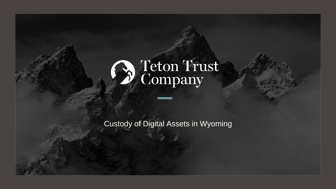

# Weton Trust

Custody of Digital Assets in Wyoming

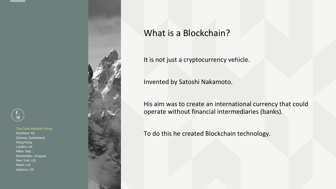



# What is a Blockchain?

It is not just a cryptocurrency vehicle.

Invented by Satoshi Nakamoto.

His aim was to create an international currency that could operate without financial intermediaries (banks).

To do this he created Blockchain technology.

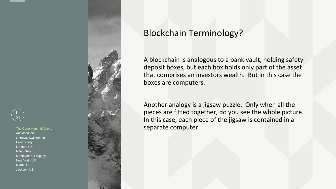



## Blockchain Terminology?

A blockchain is analogous to a bank vault, holding safety deposit boxes, but each box holds only part of the asset that comprises an investors wealth. But in this case the boxes are computers.

Another analogy is a jigsaw puzzle. Only when all the pieces are fitted together, do you see the whole picture. In this case, each piece of the jigsaw is contained in a separate computer.

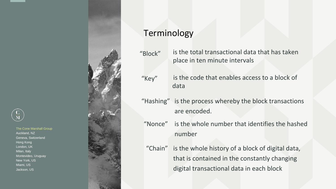



"Key" is the code that enables access to a block of data

- "Hashing" is the process whereby the block transactions are encoded.
- "Nonce" is the whole number that identifies the hashed number
- "Chain" is the whole history of a block of digital data, that is contained in the constantly changing digital transactional data in each block



# Terminology

"Block" is the total transactional data that has taken place in ten minute intervals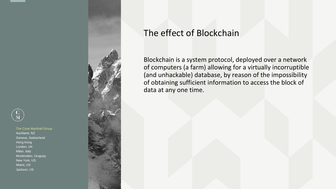



# The effect of Blockchain

Blockchain is a system protocol, deployed over a network of computers (a farm) allowing for a virtually incorruptible (and unhackable) database, by reason of the impossibility of obtaining sufficient information to access the block of data at any one time.

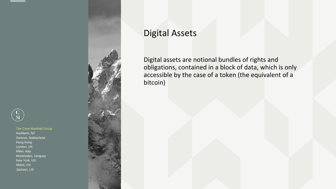



# Digital Assets

Digital assets are notional bundles of rights and obligations, contained in a block of data, which is only accessible by the case of a token (the equivalent of a bitcoin)

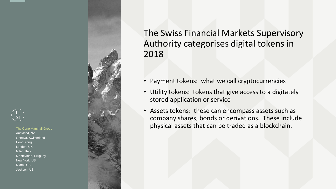



# The Swiss Financial Markets Supervisory Authority categorises digital tokens in 2018

- Payment tokens: what we call cryptocurrencies
- Utility tokens: tokens that give access to a digitately stored application or service
- Assets tokens: these can encompass assets such as company shares, bonds or derivations. These include physical assets that can be traded as a blockchain.